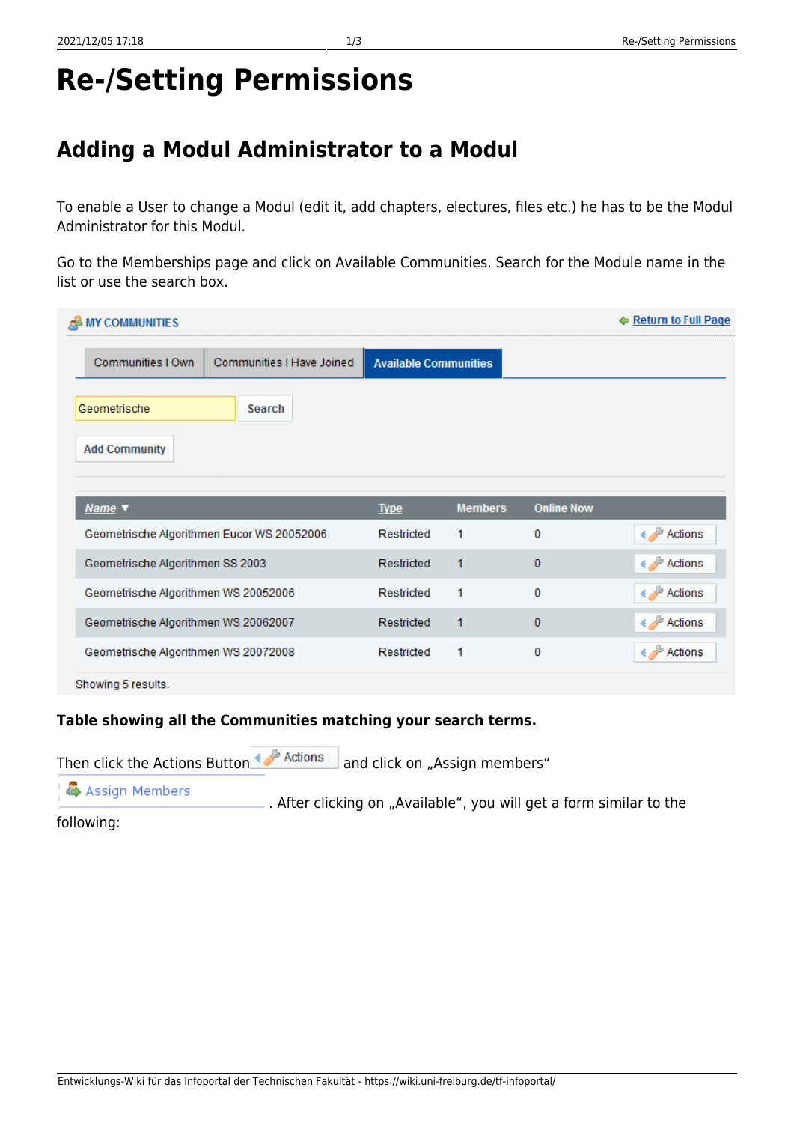## **Re-/Setting Permissions**

## **Adding a Modul Administrator to a Modul**

To enable a User to change a Modul (edit it, add chapters, electures, files etc.) he has to be the Modul Administrator for this Modul.

Go to the Memberships page and click on Available Communities. Search for the Module name in the list or use the search box.

| <b>MY COMMUNITIES</b><br>æ                     |                              |                |                   | ← Return to Full Page    |
|------------------------------------------------|------------------------------|----------------|-------------------|--------------------------|
| Communities I Own<br>Communities I Have Joined | <b>Available Communities</b> |                |                   |                          |
| Geometrische<br><b>Search</b>                  |                              |                |                   |                          |
| <b>Add Community</b>                           |                              |                |                   |                          |
| Name v                                         | <b>Type</b>                  | <b>Members</b> | <b>Online Now</b> |                          |
| Geometrische Algorithmen Eucor WS 20052006     | Restricted                   | 1              | 0                 | $\frac{1}{2}$<br>Actions |
| Geometrische Algorithmen SS 2003               | Restricted                   | 1              | 0                 | E≯ Actions               |
| Geometrische Algorithmen WS 20052006           | Restricted                   | 1              | $\bf{0}$          | Actions                  |
| Geometrische Algorithmen WS 20062007           | Restricted                   | 1              | 0                 | <b>E</b> Actions         |
| Geometrische Algorithmen WS 20072008           | Restricted                   | 1              | 0                 | Actions                  |
| Showing 5 results.                             |                              |                |                   |                          |

## **Table showing all the Communities matching your search terms.**

Then click the Actions Button  $\leftrightarrow$  Actions and click on "Assign members"

Assign Members .After clicking on "Available", you will get a form similar to the

following: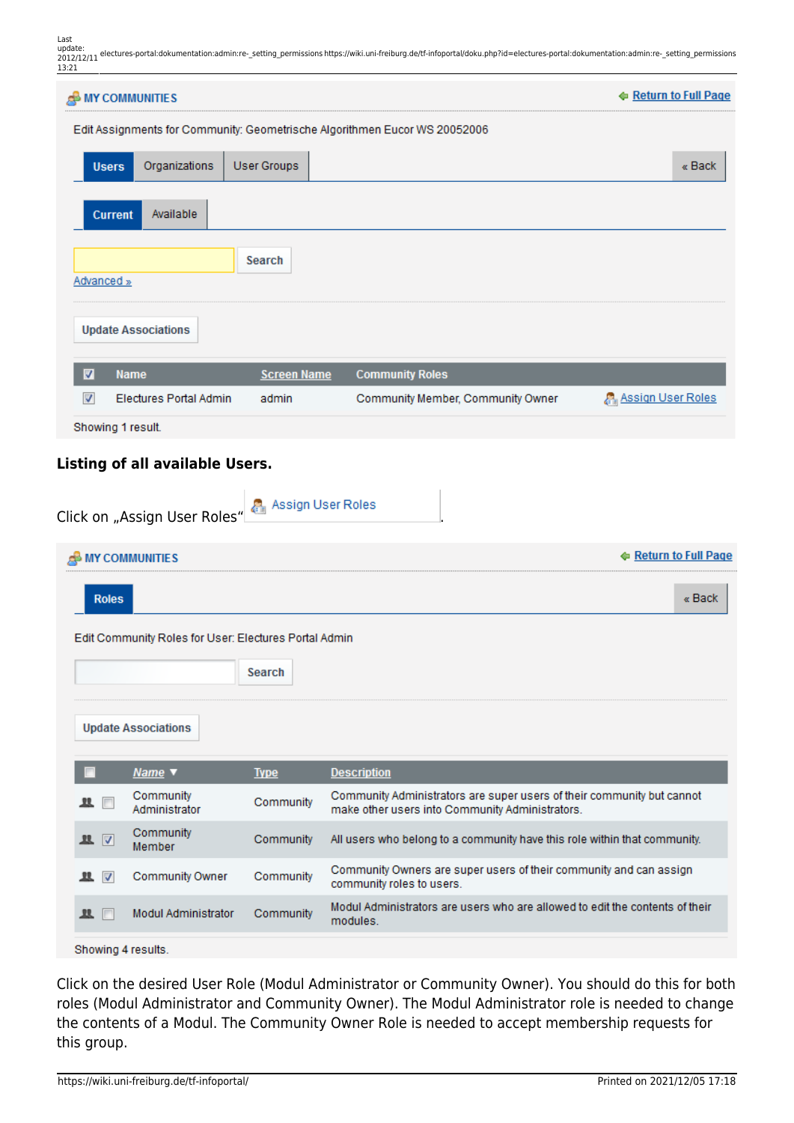Last update: 2012/12/11 electures-portal:dokumentation:admin:re- setting\_permissions https://wiki.uni-freiburg.de/tf-infoportal/doku.php?id=electures-portal:dokumentation:admin:re- setting\_permissions

| 13:21                   |                                                       |                    | 2012/12/11 Sectures portal.aokamentation.tammine_octung_permissions.neps.//www.ammenolag.ae/emmoportal/aoka.php.na=enectares portal.aokamentation.tammine_octung_permission. |                       |
|-------------------------|-------------------------------------------------------|--------------------|------------------------------------------------------------------------------------------------------------------------------------------------------------------------------|-----------------------|
| <b>A</b> MY COMMUNITIES |                                                       |                    |                                                                                                                                                                              | ← Return to Full Page |
|                         |                                                       |                    | Edit Assignments for Community: Geometrische Algorithmen Eucor WS 20052006                                                                                                   |                       |
| <b>Users</b>            | Organizations                                         | <b>User Groups</b> |                                                                                                                                                                              | « Back                |
| <b>Current</b>          | Available                                             |                    |                                                                                                                                                                              |                       |
| Advanced »              |                                                       | Search             |                                                                                                                                                                              |                       |
|                         | <b>Update Associations</b>                            |                    |                                                                                                                                                                              |                       |
| M                       | <b>Name</b>                                           | <b>Screen Name</b> | <b>Community Roles</b>                                                                                                                                                       |                       |
| $\overline{\mathbf{v}}$ | <b>Electures Portal Admin</b>                         | admin              | Community Member, Community Owner                                                                                                                                            | Assign User Roles     |
| Showing 1 result.       |                                                       |                    |                                                                                                                                                                              |                       |
|                         | Click on "Assign User Roles" Assign User Roles        |                    |                                                                                                                                                                              |                       |
| <b>MY COMMUNITIES</b>   |                                                       |                    |                                                                                                                                                                              | ← Return to Full Page |
| <b>Roles</b>            |                                                       |                    |                                                                                                                                                                              | « Back                |
|                         | Edit Community Roles for User: Electures Portal Admin |                    |                                                                                                                                                                              |                       |
|                         |                                                       | Search             |                                                                                                                                                                              |                       |
|                         | <b>Update Associations</b>                            |                    |                                                                                                                                                                              |                       |
|                         | Name v                                                | <b>Type</b>        | <b>Description</b>                                                                                                                                                           |                       |
|                         | Community<br>Administrator                            | Community          | Community Administrators are super users of their community but cannot<br>make other users into Community Administrators.                                                    |                       |
| $\sqrt{2}$<br>里         | Community<br><b>Member</b>                            | Community          | All users who belong to a community have this role within that community.                                                                                                    |                       |
| 里 マ                     | <b>Community Owner</b>                                | Community          | Community Owners are super users of their community and can assign<br>community roles to us                                                                                  |                       |

Modul Administrators are users who are allowed to edit the contents of their ■ 四 Modul Administrator Community modules.

community roles to users.

Showing 4 results.

Click on the desired User Role (Modul Administrator or Community Owner). You should do this for both roles (Modul Administrator and Community Owner). The Modul Administrator role is needed to change the contents of a Modul. The Community Owner Role is needed to accept membership requests for this group.